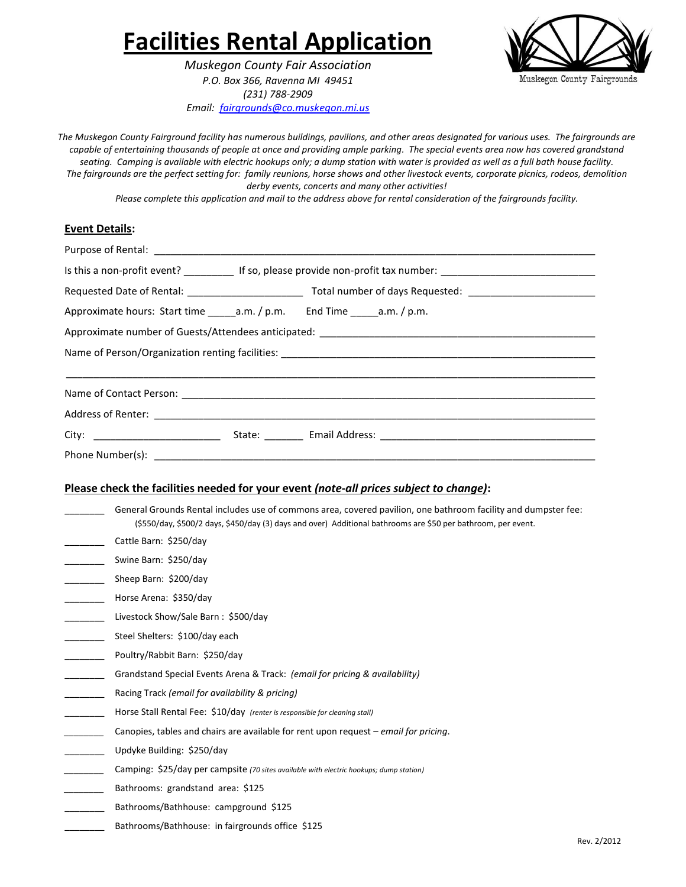# **Facilities Rental Application**

*Muskegon County Fair Association P.O. Box 366, Ravenna MI 49451 (231) 788-2909 Email: [fairgrounds@co.muskegon.mi.us](mailto:fairgrounds@co.muskegon.mi.us)*



*The Muskegon County Fairground facility has numerous buildings, pavilions, and other areas designated for various uses. The fairgrounds are capable of entertaining thousands of people at once and providing ample parking. The special events area now has covered grandstand seating. Camping is available with electric hookups only; a dump station with water is provided as well as a full bath house facility. The fairgrounds are the perfect setting for: family reunions, horse shows and other livestock events, corporate picnics, rodeos, demolition derby events, concerts and many other activities!* 

*Please complete this application and mail to the address above for rental consideration of the fairgrounds facility.*

#### **Event Details:**

|  |  | Is this a non-profit event? ____________ If so, please provide non-profit tax number: ________________________________ |
|--|--|------------------------------------------------------------------------------------------------------------------------|
|  |  |                                                                                                                        |
|  |  |                                                                                                                        |
|  |  |                                                                                                                        |
|  |  |                                                                                                                        |
|  |  |                                                                                                                        |
|  |  |                                                                                                                        |
|  |  |                                                                                                                        |
|  |  |                                                                                                                        |
|  |  |                                                                                                                        |
|  |  | Please check the facilities needed for your event (note-all prices subject to change):                                 |

General Grounds Rental includes use of commons area, covered pavilion, one bathroom facility and dumpster fee: (\$550/day, \$500/2 days, \$450/day (3) days and over) Additional bathrooms are \$50 per bathroom, per event.

- \_\_\_\_\_\_\_\_ Cattle Barn: \$250/day
- Swine Barn: \$250/day
- Sheep Barn: \$200/day
- \_\_\_\_\_\_\_\_ Horse Arena: \$350/day
- Livestock Show/Sale Barn : \$500/day
- Steel Shelters: \$100/day each
- Poultry/Rabbit Barn: \$250/day
- \_\_\_\_\_\_\_\_ Grandstand Special Events Arena & Track: *(email for pricing & availability)*
- \_\_\_\_\_\_\_\_ Racing Track *(email for availability & pricing)*
- \_\_\_\_\_\_\_\_ Horse Stall Rental Fee: \$10/day *(renter is responsible for cleaning stall)*
- *\_\_\_\_\_\_\_\_* Canopies, tables and chairs are available for rent upon request *email for pricing*.
- \_\_\_\_\_\_\_\_ Updyke Building: \$250/day
- *\_\_\_\_\_\_\_\_* Camping: \$25/day per campsite *(70 sites available with electric hookups; dump station)*
- *\_\_\_\_\_\_\_\_* Bathrooms: grandstand area: \$125
- Bathrooms/Bathhouse: campground \$125
- Bathrooms/Bathhouse: in fairgrounds office \$125